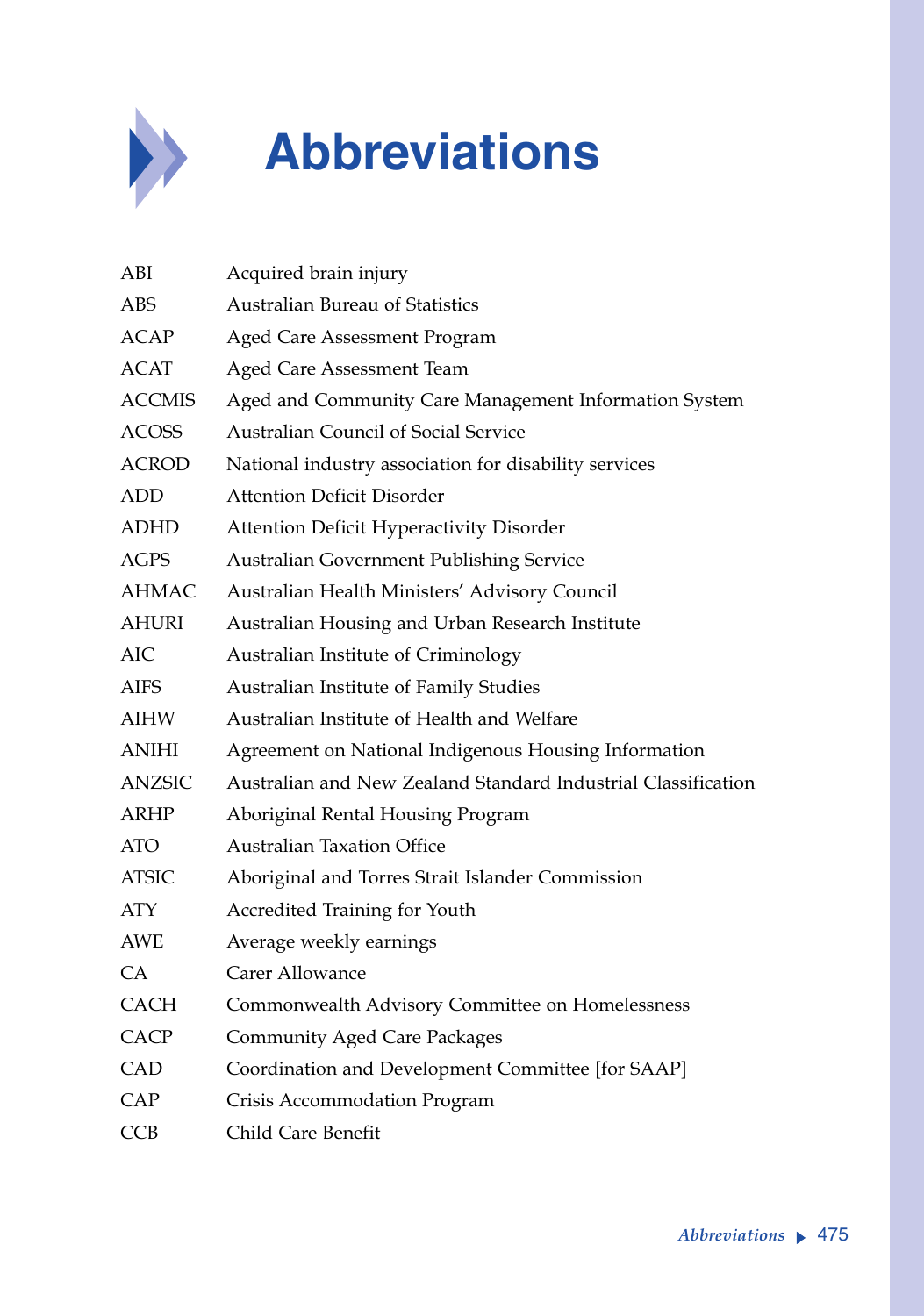

## **Abbreviations**

| ABI           | Acquired brain injury                                         |
|---------------|---------------------------------------------------------------|
| ABS           | <b>Australian Bureau of Statistics</b>                        |
| <b>ACAP</b>   | Aged Care Assessment Program                                  |
| <b>ACAT</b>   | Aged Care Assessment Team                                     |
| <b>ACCMIS</b> | Aged and Community Care Management Information System         |
| <b>ACOSS</b>  | Australian Council of Social Service                          |
| <b>ACROD</b>  | National industry association for disability services         |
| ADD           | <b>Attention Deficit Disorder</b>                             |
| ADHD          | Attention Deficit Hyperactivity Disorder                      |
| <b>AGPS</b>   | <b>Australian Government Publishing Service</b>               |
| <b>AHMAC</b>  | Australian Health Ministers' Advisory Council                 |
| <b>AHURI</b>  | Australian Housing and Urban Research Institute               |
| <b>AIC</b>    | Australian Institute of Criminology                           |
| <b>AIFS</b>   | Australian Institute of Family Studies                        |
| AIHW          | Australian Institute of Health and Welfare                    |
| <b>ANIHI</b>  | Agreement on National Indigenous Housing Information          |
| <b>ANZSIC</b> | Australian and New Zealand Standard Industrial Classification |
| ARHP          | Aboriginal Rental Housing Program                             |
| <b>ATO</b>    | <b>Australian Taxation Office</b>                             |
| ATSIC         | Aboriginal and Torres Strait Islander Commission              |
| <b>ATY</b>    | Accredited Training for Youth                                 |
| <b>AWE</b>    | Average weekly earnings                                       |
| <b>CA</b>     | Carer Allowance                                               |
| <b>CACH</b>   | Commonwealth Advisory Committee on Homelessness               |
| <b>CACP</b>   | <b>Community Aged Care Packages</b>                           |
| CAD           | Coordination and Development Committee [for SAAP]             |
| CAP           | Crisis Accommodation Program                                  |
| <b>CCB</b>    | Child Care Benefit                                            |
|               |                                                               |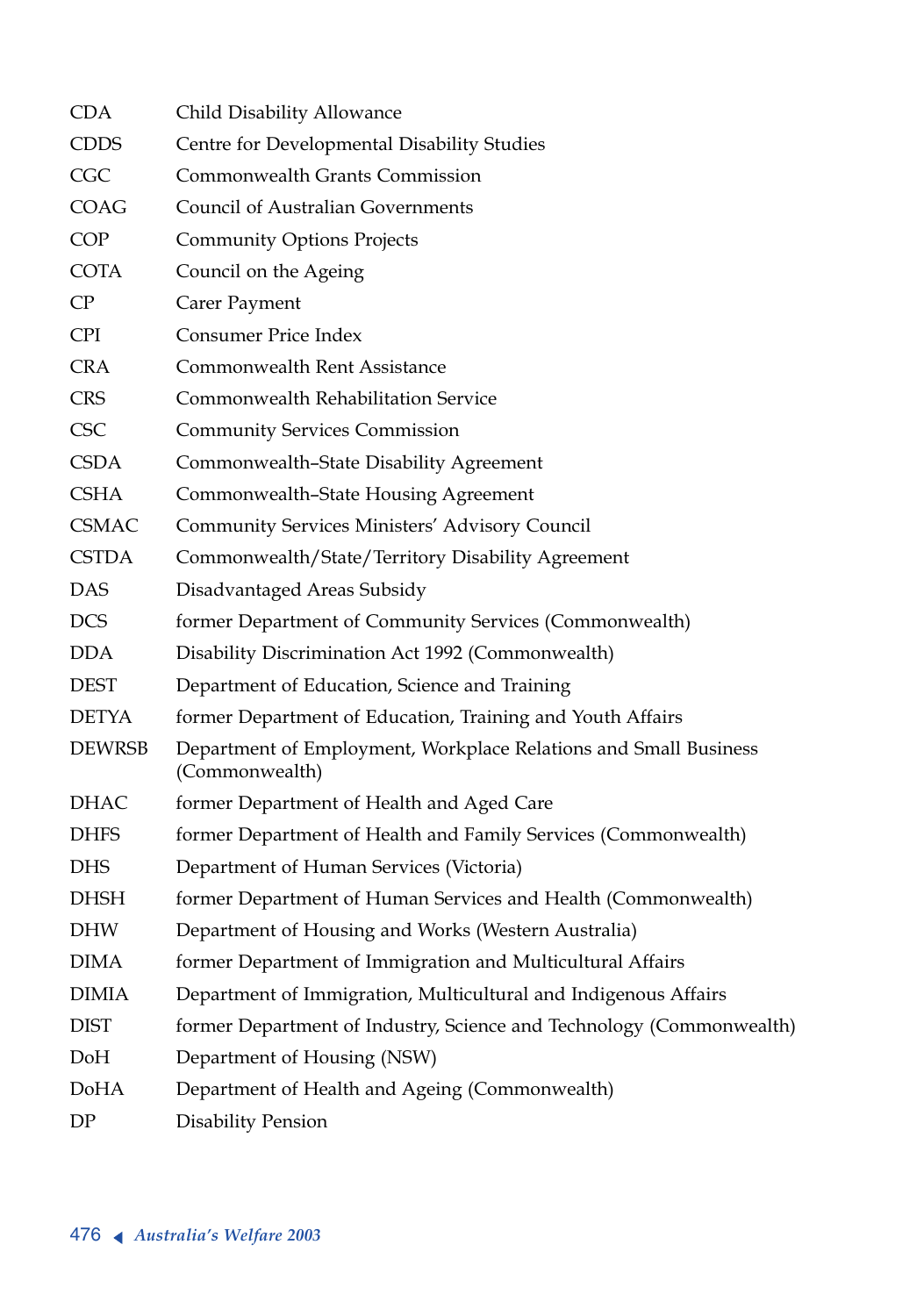| <b>CDA</b>    | Child Disability Allowance                                                         |
|---------------|------------------------------------------------------------------------------------|
| <b>CDDS</b>   | Centre for Developmental Disability Studies                                        |
| CGC           | <b>Commonwealth Grants Commission</b>                                              |
| COAG          | <b>Council of Australian Governments</b>                                           |
| <b>COP</b>    | <b>Community Options Projects</b>                                                  |
| COTA          | Council on the Ageing                                                              |
| CP            | Carer Payment                                                                      |
| CPI.          | <b>Consumer Price Index</b>                                                        |
| <b>CRA</b>    | <b>Commonwealth Rent Assistance</b>                                                |
| <b>CRS</b>    | Commonwealth Rehabilitation Service                                                |
| <b>CSC</b>    | <b>Community Services Commission</b>                                               |
| <b>CSDA</b>   | Commonwealth-State Disability Agreement                                            |
| <b>CSHA</b>   | Commonwealth-State Housing Agreement                                               |
| <b>CSMAC</b>  | Community Services Ministers' Advisory Council                                     |
| <b>CSTDA</b>  | Commonwealth/State/Territory Disability Agreement                                  |
| DAS           | Disadvantaged Areas Subsidy                                                        |
| <b>DCS</b>    | former Department of Community Services (Commonwealth)                             |
| <b>DDA</b>    | Disability Discrimination Act 1992 (Commonwealth)                                  |
| <b>DEST</b>   | Department of Education, Science and Training                                      |
| <b>DETYA</b>  | former Department of Education, Training and Youth Affairs                         |
| <b>DEWRSB</b> | Department of Employment, Workplace Relations and Small Business<br>(Commonwealth) |
| DHAC          | former Department of Health and Aged Care                                          |
| <b>DHFS</b>   | former Department of Health and Family Services (Commonwealth)                     |
| <b>DHS</b>    | Department of Human Services (Victoria)                                            |
| DHSH          | former Department of Human Services and Health (Commonwealth)                      |
| <b>DHW</b>    | Department of Housing and Works (Western Australia)                                |
| <b>DIMA</b>   | former Department of Immigration and Multicultural Affairs                         |
| <b>DIMIA</b>  | Department of Immigration, Multicultural and Indigenous Affairs                    |
| <b>DIST</b>   | former Department of Industry, Science and Technology (Commonwealth)               |
| DoH           | Department of Housing (NSW)                                                        |
| DoHA          | Department of Health and Ageing (Commonwealth)                                     |
| DP            | Disability Pension                                                                 |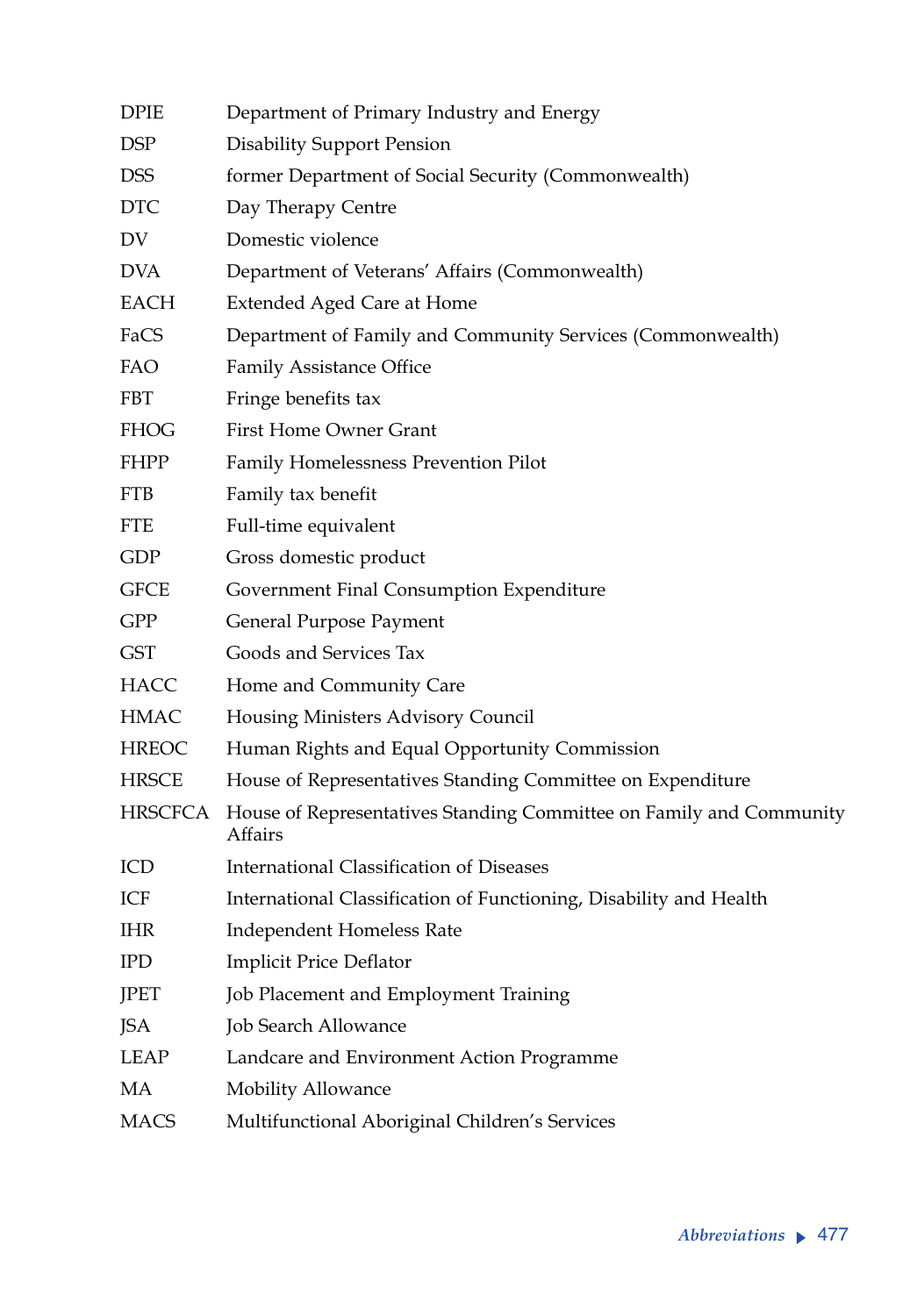| <b>DPIE</b>    | Department of Primary Industry and Energy                                      |  |
|----------------|--------------------------------------------------------------------------------|--|
| <b>DSP</b>     | <b>Disability Support Pension</b>                                              |  |
| <b>DSS</b>     | former Department of Social Security (Commonwealth)                            |  |
| <b>DTC</b>     | Day Therapy Centre                                                             |  |
| DV             | Domestic violence                                                              |  |
| <b>DVA</b>     | Department of Veterans' Affairs (Commonwealth)                                 |  |
| <b>EACH</b>    | <b>Extended Aged Care at Home</b>                                              |  |
| FaCS           | Department of Family and Community Services (Commonwealth)                     |  |
| <b>FAO</b>     | Family Assistance Office                                                       |  |
| <b>FBT</b>     | Fringe benefits tax                                                            |  |
| <b>FHOG</b>    | First Home Owner Grant                                                         |  |
| <b>FHPP</b>    | Family Homelessness Prevention Pilot                                           |  |
| <b>FTB</b>     | Family tax benefit                                                             |  |
| FTE            | Full-time equivalent                                                           |  |
| GDP            | Gross domestic product                                                         |  |
| <b>GFCE</b>    | Government Final Consumption Expenditure                                       |  |
| GPP            | General Purpose Payment                                                        |  |
| <b>GST</b>     | Goods and Services Tax                                                         |  |
| <b>HACC</b>    | Home and Community Care                                                        |  |
| <b>HMAC</b>    | Housing Ministers Advisory Council                                             |  |
| <b>HREOC</b>   | Human Rights and Equal Opportunity Commission                                  |  |
| <b>HRSCE</b>   | House of Representatives Standing Committee on Expenditure                     |  |
| <b>HRSCFCA</b> | House of Representatives Standing Committee on Family and Community<br>Affairs |  |
| ICD            | International Classification of Diseases                                       |  |
| ICF            | International Classification of Functioning, Disability and Health             |  |
| <b>IHR</b>     | Independent Homeless Rate                                                      |  |
| <b>IPD</b>     | <b>Implicit Price Deflator</b>                                                 |  |
| JPET           | Job Placement and Employment Training                                          |  |
| JSA            | Job Search Allowance                                                           |  |
| <b>LEAP</b>    | Landcare and Environment Action Programme                                      |  |
| MA             | Mobility Allowance                                                             |  |
| <b>MACS</b>    | Multifunctional Aboriginal Children's Services                                 |  |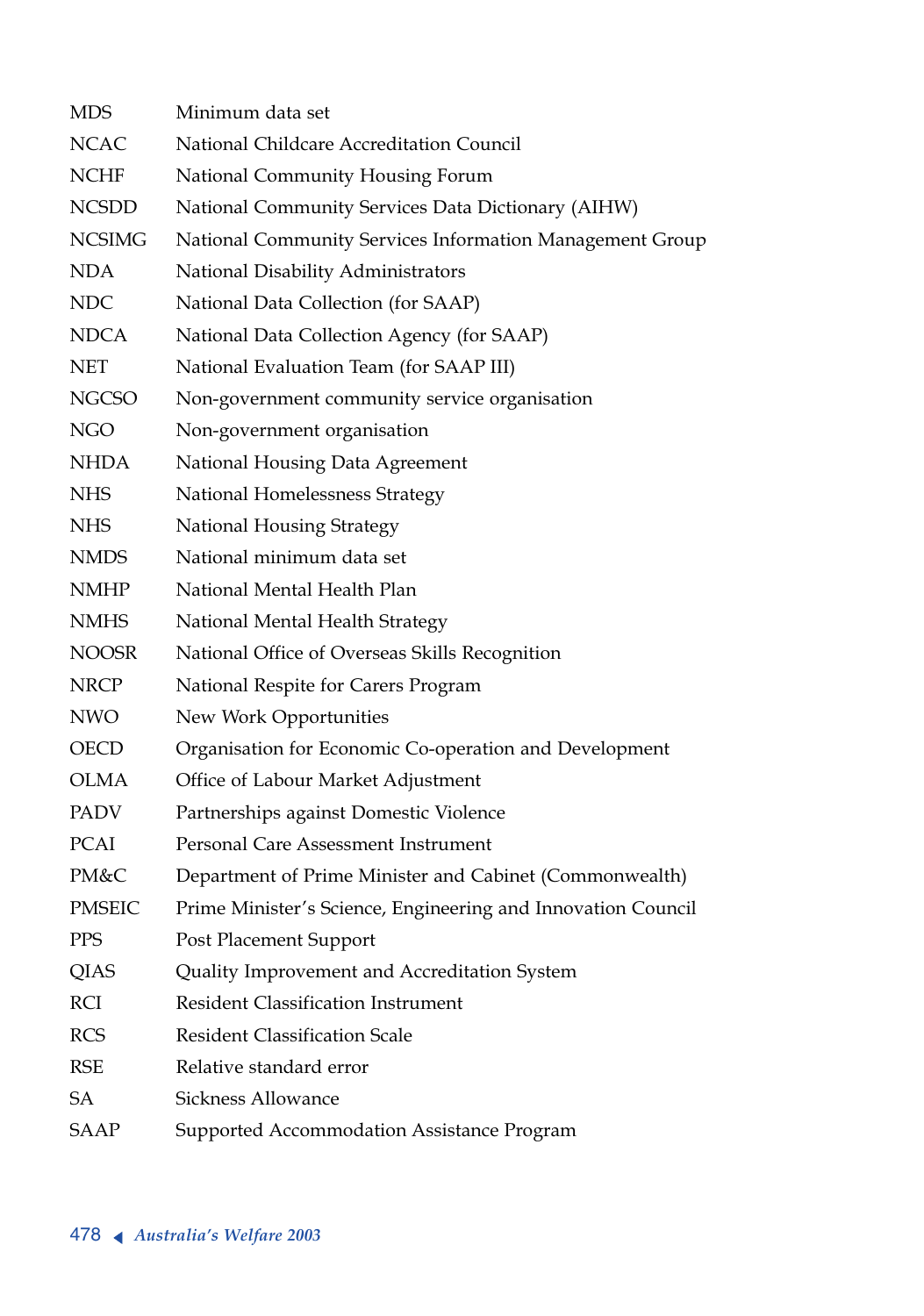| <b>MDS</b>    | Minimum data set                                             |
|---------------|--------------------------------------------------------------|
| <b>NCAC</b>   | National Childcare Accreditation Council                     |
| <b>NCHF</b>   | National Community Housing Forum                             |
| <b>NCSDD</b>  | National Community Services Data Dictionary (AIHW)           |
| <b>NCSIMG</b> | National Community Services Information Management Group     |
| <b>NDA</b>    | National Disability Administrators                           |
| <b>NDC</b>    | National Data Collection (for SAAP)                          |
| <b>NDCA</b>   | National Data Collection Agency (for SAAP)                   |
| <b>NET</b>    | National Evaluation Team (for SAAP III)                      |
| <b>NGCSO</b>  | Non-government community service organisation                |
| NGO           | Non-government organisation                                  |
| <b>NHDA</b>   | National Housing Data Agreement                              |
| <b>NHS</b>    | National Homelessness Strategy                               |
| <b>NHS</b>    | National Housing Strategy                                    |
| <b>NMDS</b>   | National minimum data set                                    |
| <b>NMHP</b>   | National Mental Health Plan                                  |
| <b>NMHS</b>   | National Mental Health Strategy                              |
| <b>NOOSR</b>  | National Office of Overseas Skills Recognition               |
| <b>NRCP</b>   | National Respite for Carers Program                          |
| NWO           | New Work Opportunities                                       |
| <b>OECD</b>   | Organisation for Economic Co-operation and Development       |
| <b>OLMA</b>   | Office of Labour Market Adjustment                           |
| PADV          | Partnerships against Domestic Violence                       |
| PCAI          | Personal Care Assessment Instrument                          |
| PM&C          | Department of Prime Minister and Cabinet (Commonwealth)      |
| <b>PMSEIC</b> | Prime Minister's Science, Engineering and Innovation Council |
| PPS           | Post Placement Support                                       |
| <b>QIAS</b>   | Quality Improvement and Accreditation System                 |
| RCI           | <b>Resident Classification Instrument</b>                    |
| <b>RCS</b>    | <b>Resident Classification Scale</b>                         |
| <b>RSE</b>    | Relative standard error                                      |
| SA            | Sickness Allowance                                           |
| SAAP          | Supported Accommodation Assistance Program                   |